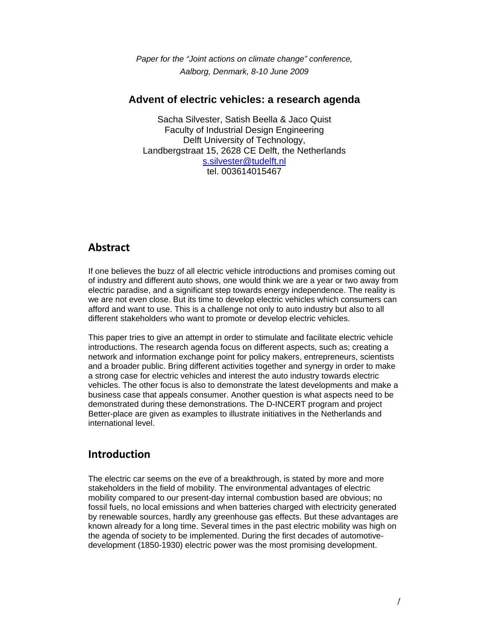*Paper for the "Joint actions on climate change" conference, Aalborg, Denmark, 8-10 June 2009* 

#### **Advent of electric vehicles: a research agenda**

Sacha Silvester, Satish Beella & Jaco Quist Faculty of Industrial Design Engineering Delft University of Technology, Landbergstraat 15, 2628 CE Delft, the Netherlands s.silvester@tudelft.nl tel. 003614015467

### **Abstract**

If one believes the buzz of all electric vehicle introductions and promises coming out of industry and different auto shows, one would think we are a year or two away from electric paradise, and a significant step towards energy independence. The reality is we are not even close. But its time to develop electric vehicles which consumers can afford and want to use. This is a challenge not only to auto industry but also to all different stakeholders who want to promote or develop electric vehicles.

This paper tries to give an attempt in order to stimulate and facilitate electric vehicle introductions. The research agenda focus on different aspects, such as; creating a network and information exchange point for policy makers, entrepreneurs, scientists and a broader public. Bring different activities together and synergy in order to make a strong case for electric vehicles and interest the auto industry towards electric vehicles. The other focus is also to demonstrate the latest developments and make a business case that appeals consumer. Another question is what aspects need to be demonstrated during these demonstrations. The D-INCERT program and project Better-place are given as examples to illustrate initiatives in the Netherlands and international level.

# **Introduction**

The electric car seems on the eve of a breakthrough, is stated by more and more stakeholders in the field of mobility. The environmental advantages of electric mobility compared to our present-day internal combustion based are obvious; no fossil fuels, no local emissions and when batteries charged with electricity generated by renewable sources, hardly any greenhouse gas effects. But these advantages are known already for a long time. Several times in the past electric mobility was high on the agenda of society to be implemented. During the first decades of automotivedevelopment (1850-1930) electric power was the most promising development.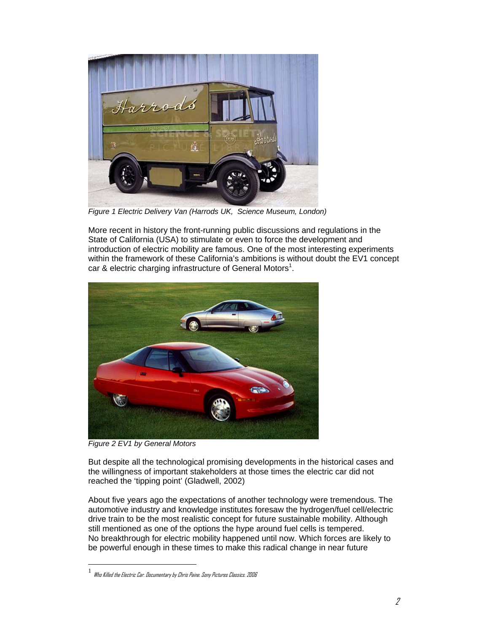

*Figure 1 Electric Delivery Van (Harrods UK, Science Museum, London)* 

More recent in history the front-running public discussions and regulations in the State of California (USA) to stimulate or even to force the development and introduction of electric mobility are famous. One of the most interesting experiments within the framework of these California's ambitions is without doubt the EV1 concept car & electric charging infrastructure of General Motors<sup>1</sup>.



*Figure 2 EV1 by General Motors* 

 $\overline{a}$ 

But despite all the technological promising developments in the historical cases and the willingness of important stakeholders at those times the electric car did not reached the 'tipping point' (Gladwell, 2002)

About five years ago the expectations of another technology were tremendous. The automotive industry and knowledge institutes foresaw the hydrogen/fuel cell/electric drive train to be the most realistic concept for future sustainable mobility. Although still mentioned as one of the options the hype around fuel cells is tempered. No breakthrough for electric mobility happened until now. Which forces are likely to be powerful enough in these times to make this radical change in near future

<sup>1</sup> Who Killed the Electric Car. Documentary by Chris Paine. Sony Pictures Classics. 2006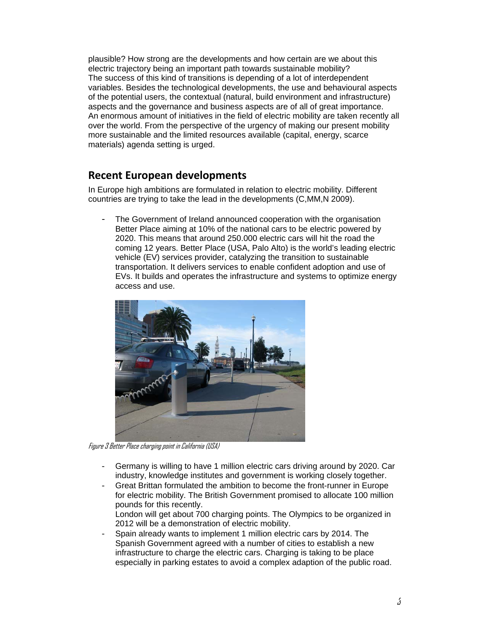plausible? How strong are the developments and how certain are we about this electric trajectory being an important path towards sustainable mobility? The success of this kind of transitions is depending of a lot of interdependent variables. Besides the technological developments, the use and behavioural aspects of the potential users, the contextual (natural, build environment and infrastructure) aspects and the governance and business aspects are of all of great importance. An enormous amount of initiatives in the field of electric mobility are taken recently all over the world. From the perspective of the urgency of making our present mobility more sustainable and the limited resources available (capital, energy, scarce materials) agenda setting is urged.

# **Recent European developments**

In Europe high ambitions are formulated in relation to electric mobility. Different countries are trying to take the lead in the developments (C,MM,N 2009).

The Government of Ireland announced cooperation with the organisation Better Place aiming at 10% of the national cars to be electric powered by 2020. This means that around 250.000 electric cars will hit the road the coming 12 years. Better Place (USA, Palo Alto) is the world's leading electric vehicle (EV) services provider, catalyzing the transition to sustainable transportation. It delivers services to enable confident adoption and use of EVs. It builds and operates the infrastructure and systems to optimize energy access and use.



Figure 3 Better Place charging point in California (USA)

- Germany is willing to have 1 million electric cars driving around by 2020. Car industry, knowledge institutes and government is working closely together.
- Great Brittan formulated the ambition to become the front-runner in Europe for electric mobility. The British Government promised to allocate 100 million pounds for this recently.
	- London will get about 700 charging points. The Olympics to be organized in 2012 will be a demonstration of electric mobility.
- Spain already wants to implement 1 million electric cars by 2014. The Spanish Government agreed with a number of cities to establish a new infrastructure to charge the electric cars. Charging is taking to be place especially in parking estates to avoid a complex adaption of the public road.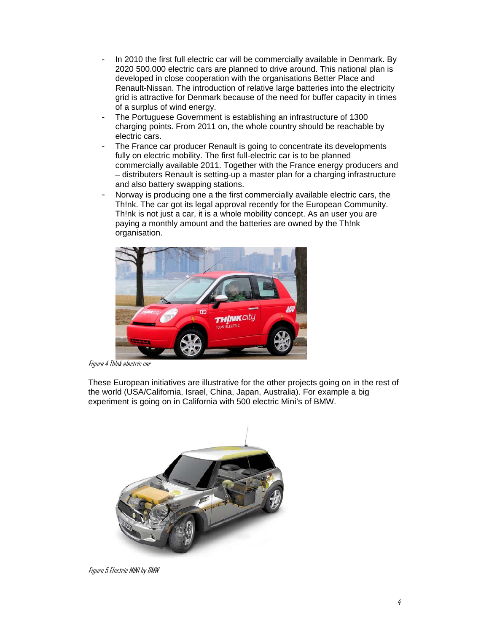- In 2010 the first full electric car will be commercially available in Denmark. By 2020 500.000 electric cars are planned to drive around. This national plan is developed in close cooperation with the organisations Better Place and Renault-Nissan. The introduction of relative large batteries into the electricity grid is attractive for Denmark because of the need for buffer capacity in times of a surplus of wind energy.
- The Portuguese Government is establishing an infrastructure of 1300 charging points. From 2011 on, the whole country should be reachable by electric cars.
- The France car producer Renault is going to concentrate its developments fully on electric mobility. The first full-electric car is to be planned commercially available 2011. Together with the France energy producers and – distributers Renault is setting-up a master plan for a charging infrastructure and also battery swapping stations.
- Norway is producing one a the first commercially available electric cars, the Th!nk. The car got its legal approval recently for the European Community. Th!nk is not just a car, it is a whole mobility concept. As an user you are paying a monthly amount and the batteries are owned by the Th!nk organisation.



Figure 4 Th!nk electric car

These European initiatives are illustrative for the other projects going on in the rest of the world (USA/California, Israel, China, Japan, Australia). For example a big experiment is going on in California with 500 electric Mini's of BMW.



Figure 5 Electric MINI by BMW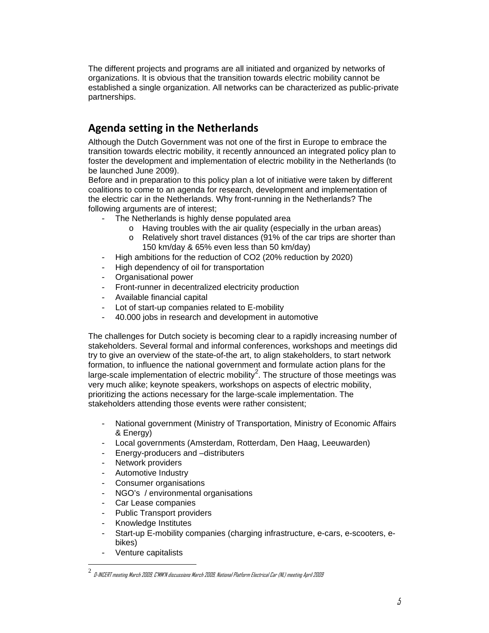The different projects and programs are all initiated and organized by networks of organizations. It is obvious that the transition towards electric mobility cannot be established a single organization. All networks can be characterized as public-private partnerships.

# **Agenda setting in the Netherlands**

Although the Dutch Government was not one of the first in Europe to embrace the transition towards electric mobility, it recently announced an integrated policy plan to foster the development and implementation of electric mobility in the Netherlands (to be launched June 2009).

Before and in preparation to this policy plan a lot of initiative were taken by different coalitions to come to an agenda for research, development and implementation of the electric car in the Netherlands. Why front-running in the Netherlands? The following arguments are of interest;

- The Netherlands is highly dense populated area
	- o Having troubles with the air quality (especially in the urban areas)
	- o Relatively short travel distances (91% of the car trips are shorter than 150 km/day & 65% even less than 50 km/day)
- High ambitions for the reduction of CO2 (20% reduction by 2020)
- High dependency of oil for transportation
- Organisational power
- Front-runner in decentralized electricity production
- Available financial capital
- Lot of start-up companies related to E-mobility
- 40.000 jobs in research and development in automotive

The challenges for Dutch society is becoming clear to a rapidly increasing number of stakeholders. Several formal and informal conferences, workshops and meetings did try to give an overview of the state-of-the art, to align stakeholders, to start network formation, to influence the national government and formulate action plans for the large-scale implementation of electric mobility<sup>2</sup>. The structure of those meetings was very much alike; keynote speakers, workshops on aspects of electric mobility, prioritizing the actions necessary for the large-scale implementation. The stakeholders attending those events were rather consistent;

- National government (Ministry of Transportation, Ministry of Economic Affairs & Energy)
- Local governments (Amsterdam, Rotterdam, Den Haag, Leeuwarden)
- Energy-producers and –distributers
- Network providers
- Automotive Industry
- Consumer organisations
- NGO's / environmental organisations
- Car Lease companies
- Public Transport providers
- Knowledge Institutes
- Start-up E-mobility companies (charging infrastructure, e-cars, e-scooters, ebikes)
- Venture capitalists

 $\overline{a}$ 

 $^2\,$  D-INCERT meeting March 2009, C'MM'N discussions March 2009, National Platform Electrical Car (NL) meeting April 2009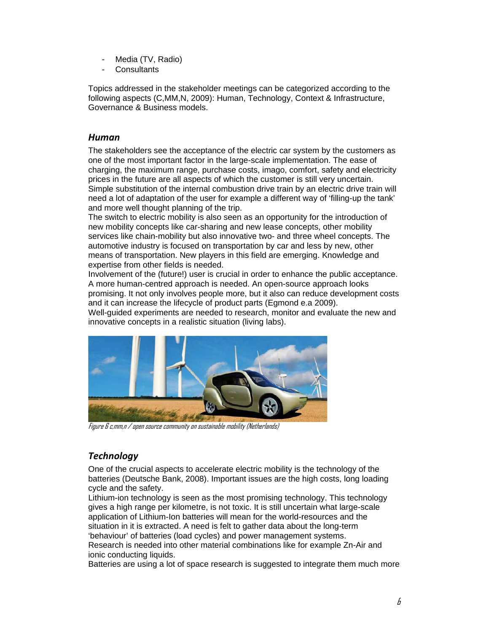- Media (TV, Radio)
- **Consultants**

Topics addressed in the stakeholder meetings can be categorized according to the following aspects (C,MM,N, 2009): Human, Technology, Context & Infrastructure, Governance & Business models.

#### *Human*

The stakeholders see the acceptance of the electric car system by the customers as one of the most important factor in the large-scale implementation. The ease of charging, the maximum range, purchase costs, imago, comfort, safety and electricity prices in the future are all aspects of which the customer is still very uncertain. Simple substitution of the internal combustion drive train by an electric drive train will need a lot of adaptation of the user for example a different way of 'filling-up the tank' and more well thought planning of the trip.

The switch to electric mobility is also seen as an opportunity for the introduction of new mobility concepts like car-sharing and new lease concepts, other mobility services like chain-mobility but also innovative two- and three wheel concepts. The automotive industry is focused on transportation by car and less by new, other means of transportation. New players in this field are emerging. Knowledge and expertise from other fields is needed.

Involvement of the (future!) user is crucial in order to enhance the public acceptance. A more human-centred approach is needed. An open-source approach looks promising. It not only involves people more, but it also can reduce development costs and it can increase the lifecycle of product parts (Egmond e.a 2009).

Well-guided experiments are needed to research, monitor and evaluate the new and innovative concepts in a realistic situation (living labs).



Figure 6 c,mm,n / open source community on sustainable mobility (Netherlands)

# *Technology*

One of the crucial aspects to accelerate electric mobility is the technology of the batteries (Deutsche Bank, 2008). Important issues are the high costs, long loading cycle and the safety.

Lithium-ion technology is seen as the most promising technology. This technology gives a high range per kilometre, is not toxic. It is still uncertain what large-scale application of Lithium-Ion batteries will mean for the world-resources and the situation in it is extracted. A need is felt to gather data about the long-term 'behaviour' of batteries (load cycles) and power management systems. Research is needed into other material combinations like for example Zn-Air and ionic conducting liquids.

Batteries are using a lot of space research is suggested to integrate them much more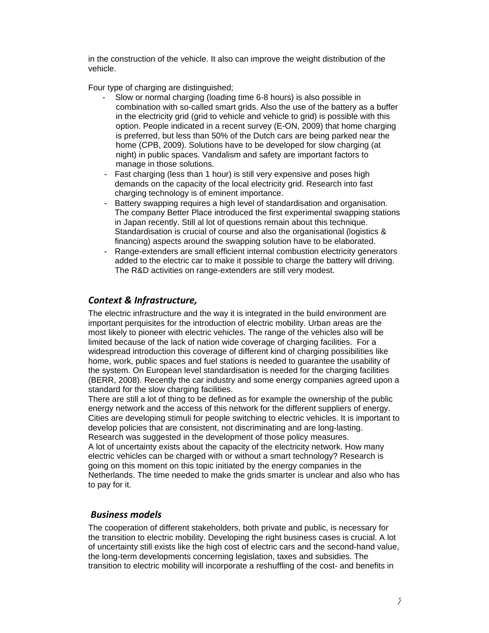in the construction of the vehicle. It also can improve the weight distribution of the vehicle.

Four type of charging are distinguished;

- Slow or normal charging (loading time 6-8 hours) is also possible in combination with so-called smart grids. Also the use of the battery as a buffer in the electricity grid (grid to vehicle and vehicle to grid) is possible with this option. People indicated in a recent survey (E-ON, 2009) that home charging is preferred, but less than 50% of the Dutch cars are being parked near the home (CPB, 2009). Solutions have to be developed for slow charging (at night) in public spaces. Vandalism and safety are important factors to manage in those solutions.
- Fast charging (less than 1 hour) is still very expensive and poses high demands on the capacity of the local electricity grid. Research into fast charging technology is of eminent importance.
- Battery swapping requires a high level of standardisation and organisation. The company Better Place introduced the first experimental swapping stations in Japan recently. Still al lot of questions remain about this technique. Standardisation is crucial of course and also the organisational (logistics & financing) aspects around the swapping solution have to be elaborated.
- Range-extenders are small efficient internal combustion electricity generators added to the electric car to make it possible to charge the battery will driving. The R&D activities on range-extenders are still very modest.

#### *Context & Infrastructure,*

The electric infrastructure and the way it is integrated in the build environment are important perquisites for the introduction of electric mobility. Urban areas are the most likely to pioneer with electric vehicles. The range of the vehicles also will be limited because of the lack of nation wide coverage of charging facilities. For a widespread introduction this coverage of different kind of charging possibilities like home, work, public spaces and fuel stations is needed to guarantee the usability of the system. On European level standardisation is needed for the charging facilities (BERR, 2008). Recently the car industry and some energy companies agreed upon a standard for the slow charging facilities.

There are still a lot of thing to be defined as for example the ownership of the public energy network and the access of this network for the different suppliers of energy. Cities are developing stimuli for people switching to electric vehicles. It is important to develop policies that are consistent, not discriminating and are long-lasting. Research was suggested in the development of those policy measures.

A lot of uncertainty exists about the capacity of the electricity network. How many electric vehicles can be charged with or without a smart technology? Research is going on this moment on this topic initiated by the energy companies in the Netherlands. The time needed to make the grids smarter is unclear and also who has to pay for it.

#### *Business models*

The cooperation of different stakeholders, both private and public, is necessary for the transition to electric mobility. Developing the right business cases is crucial. A lot of uncertainty still exists like the high cost of electric cars and the second-hand value, the long-term developments concerning legislation, taxes and subsidies. The transition to electric mobility will incorporate a reshuffling of the cost- and benefits in